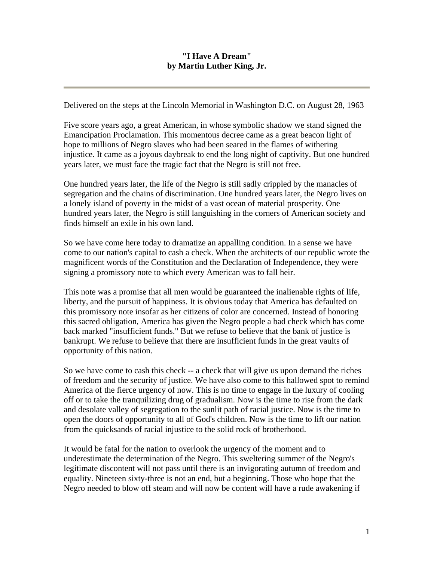## **"I Have A Dream" by Martin Luther King, Jr.**

Delivered on the steps at the Lincoln Memorial in Washington D.C. on August 28, 1963

Five score years ago, a great American, in whose symbolic shadow we stand signed the Emancipation Proclamation. This momentous decree came as a great beacon light of hope to millions of Negro slaves who had been seared in the flames of withering injustice. It came as a joyous daybreak to end the long night of captivity. But one hundred years later, we must face the tragic fact that the Negro is still not free.

One hundred years later, the life of the Negro is still sadly crippled by the manacles of segregation and the chains of discrimination. One hundred years later, the Negro lives on a lonely island of poverty in the midst of a vast ocean of material prosperity. One hundred years later, the Negro is still languishing in the corners of American society and finds himself an exile in his own land.

So we have come here today to dramatize an appalling condition. In a sense we have come to our nation's capital to cash a check. When the architects of our republic wrote the magnificent words of the Constitution and the Declaration of Independence, they were signing a promissory note to which every American was to fall heir.

This note was a promise that all men would be guaranteed the inalienable rights of life, liberty, and the pursuit of happiness. It is obvious today that America has defaulted on this promissory note insofar as her citizens of color are concerned. Instead of honoring this sacred obligation, America has given the Negro people a bad check which has come back marked "insufficient funds." But we refuse to believe that the bank of justice is bankrupt. We refuse to believe that there are insufficient funds in the great vaults of opportunity of this nation.

So we have come to cash this check -- a check that will give us upon demand the riches of freedom and the security of justice. We have also come to this hallowed spot to remind America of the fierce urgency of now. This is no time to engage in the luxury of cooling off or to take the tranquilizing drug of gradualism. Now is the time to rise from the dark and desolate valley of segregation to the sunlit path of racial justice. Now is the time to open the doors of opportunity to all of God's children. Now is the time to lift our nation from the quicksands of racial injustice to the solid rock of brotherhood.

It would be fatal for the nation to overlook the urgency of the moment and to underestimate the determination of the Negro. This sweltering summer of the Negro's legitimate discontent will not pass until there is an invigorating autumn of freedom and equality. Nineteen sixty-three is not an end, but a beginning. Those who hope that the Negro needed to blow off steam and will now be content will have a rude awakening if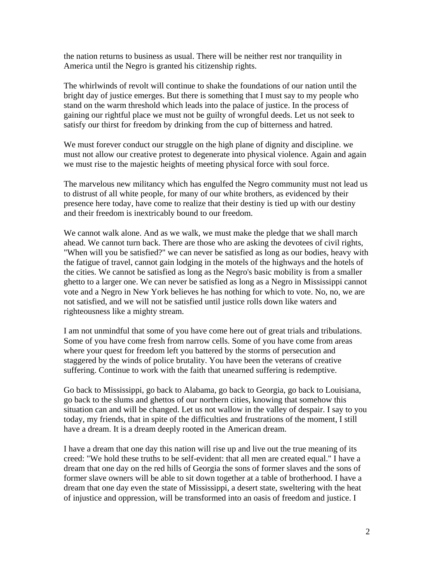the nation returns to business as usual. There will be neither rest nor tranquility in America until the Negro is granted his citizenship rights.

The whirlwinds of revolt will continue to shake the foundations of our nation until the bright day of justice emerges. But there is something that I must say to my people who stand on the warm threshold which leads into the palace of justice. In the process of gaining our rightful place we must not be guilty of wrongful deeds. Let us not seek to satisfy our thirst for freedom by drinking from the cup of bitterness and hatred.

We must forever conduct our struggle on the high plane of dignity and discipline. we must not allow our creative protest to degenerate into physical violence. Again and again we must rise to the majestic heights of meeting physical force with soul force.

The marvelous new militancy which has engulfed the Negro community must not lead us to distrust of all white people, for many of our white brothers, as evidenced by their presence here today, have come to realize that their destiny is tied up with our destiny and their freedom is inextricably bound to our freedom.

We cannot walk alone. And as we walk, we must make the pledge that we shall march ahead. We cannot turn back. There are those who are asking the devotees of civil rights, "When will you be satisfied?" we can never be satisfied as long as our bodies, heavy with the fatigue of travel, cannot gain lodging in the motels of the highways and the hotels of the cities. We cannot be satisfied as long as the Negro's basic mobility is from a smaller ghetto to a larger one. We can never be satisfied as long as a Negro in Mississippi cannot vote and a Negro in New York believes he has nothing for which to vote. No, no, we are not satisfied, and we will not be satisfied until justice rolls down like waters and righteousness like a mighty stream.

I am not unmindful that some of you have come here out of great trials and tribulations. Some of you have come fresh from narrow cells. Some of you have come from areas where your quest for freedom left you battered by the storms of persecution and staggered by the winds of police brutality. You have been the veterans of creative suffering. Continue to work with the faith that unearned suffering is redemptive.

Go back to Mississippi, go back to Alabama, go back to Georgia, go back to Louisiana, go back to the slums and ghettos of our northern cities, knowing that somehow this situation can and will be changed. Let us not wallow in the valley of despair. I say to you today, my friends, that in spite of the difficulties and frustrations of the moment, I still have a dream. It is a dream deeply rooted in the American dream.

I have a dream that one day this nation will rise up and live out the true meaning of its creed: "We hold these truths to be self-evident: that all men are created equal." I have a dream that one day on the red hills of Georgia the sons of former slaves and the sons of former slave owners will be able to sit down together at a table of brotherhood. I have a dream that one day even the state of Mississippi, a desert state, sweltering with the heat of injustice and oppression, will be transformed into an oasis of freedom and justice. I